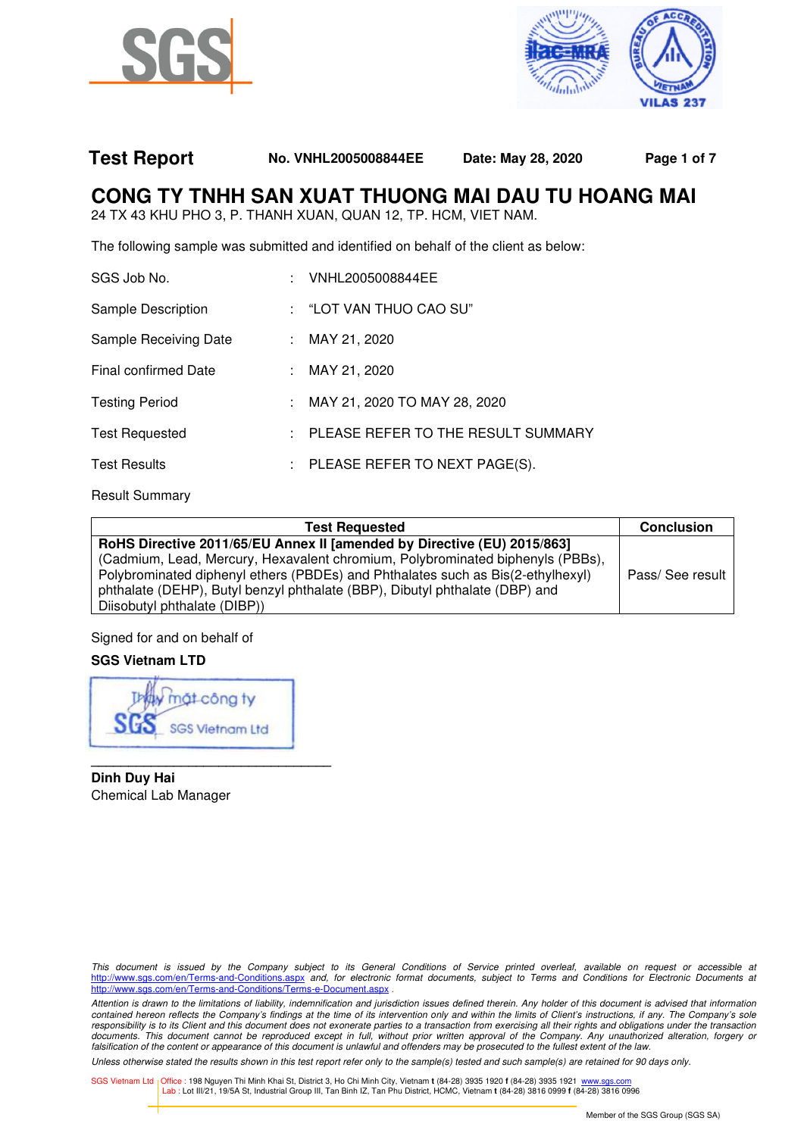



## **Test Report No. VNHL2005008844EE Date: May 28, 2020 Page 1 of 7**

# **CONG TY TNHH SAN XUAT THUONG MAI DAU TU HOANG MAI**

24 TX 43 KHU PHO 3, P. THANH XUAN, QUAN 12, TP. HCM, VIET NAM.

The following sample was submitted and identified on behalf of the client as below:

| SGS Job No.                 | : VNHL2005008844EE                         |
|-----------------------------|--------------------------------------------|
| Sample Description          | : "LOT VAN THUO CAO SU"                    |
| Sample Receiving Date       | : MAY 21, 2020                             |
| <b>Final confirmed Date</b> | : MAY 21, 2020                             |
| <b>Testing Period</b>       | : MAY 21, 2020 TO MAY 28, 2020             |
| <b>Test Requested</b>       | : PLEASE REFER TO THE RESULT SUMMARY       |
| <b>Test Results</b>         | $\therefore$ PLEASE REFER TO NEXT PAGE(S). |
|                             |                                            |

Result Summary

| <b>Test Requested</b>                                                           | <b>Conclusion</b> |  |
|---------------------------------------------------------------------------------|-------------------|--|
| RoHS Directive 2011/65/EU Annex II [amended by Directive (EU) 2015/863]         |                   |  |
| (Cadmium, Lead, Mercury, Hexavalent chromium, Polybrominated biphenyls (PBBs),  |                   |  |
| Polybrominated diphenyl ethers (PBDEs) and Phthalates such as Bis(2-ethylhexyl) | Pass/ See result  |  |
| phthalate (DEHP), Butyl benzyl phthalate (BBP), Dibutyl phthalate (DBP) and     |                   |  |
| Diisobutyl phthalate (DIBP))                                                    |                   |  |

Signed for and on behalf of

## **SGS Vietnam LTD**

công ty **SGS Vietnam Ltd** 

**\_\_\_\_\_\_\_\_\_\_\_\_\_\_\_\_\_\_\_\_\_\_\_\_\_\_\_\_\_\_\_\_** 

**Dinh Duy Hai**  Chemical Lab Manager

This document is issued by the Company subject to its General Conditions of Service printed overleaf, available on request or accessible at http://www.sgs.com/en/Terms-and-Conditions.aspx and, for electronic format documents, subject to Terms and Conditions for Electronic Documents at http://www.sgs.com/en/Terms-and-Conditions/Terms-e-Document.aspx .

Attention is drawn to the limitations of liability, indemnification and jurisdiction issues defined therein. Any holder of this document is advised that information contained hereon reflects the Company's findings at the time of its intervention only and within the limits of Client's instructions, if any. The Company's sole responsibility is to its Client and this document does not exonerate parties to a transaction from exercising all their rights and obligations under the transaction documents. This document cannot be reproduced except in full, without prior written approval of the Company. Any unauthorized alteration, forgery or falsification of the content or appearance of this document is unlawful and offenders may be prosecuted to the fullest extent of the law.

Unless otherwise stated the results shown in this test report refer only to the sample(s) tested and such sample(s) are retained for 90 days only.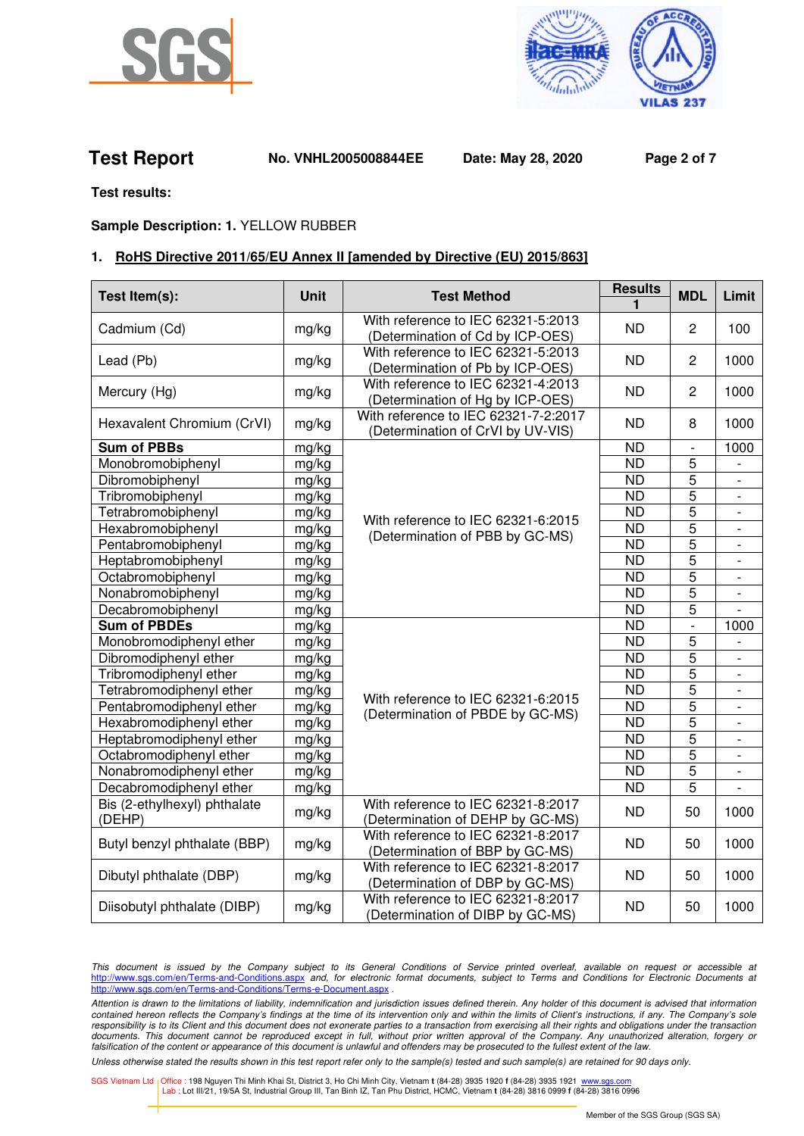



**Test Report No. VNHL2005008844EE Date: May 28, 2020 Page 2 of 7**

**Test results:** 

## **Sample Description: 1.** YELLOW RUBBER

## **1. RoHS Directive 2011/65/EU Annex II [amended by Directive (EU) 2015/863]**

| Test Item(s):                          | <b>Unit</b> | <b>Test Method</b>                                                        | <b>Results</b>  | <b>MDL</b>               | Limit                    |
|----------------------------------------|-------------|---------------------------------------------------------------------------|-----------------|--------------------------|--------------------------|
| Cadmium (Cd)                           | mg/kg       | With reference to IEC 62321-5:2013<br>(Determination of Cd by ICP-OES)    | <b>ND</b>       | 2                        | 100                      |
| Lead (Pb)                              | mg/kg       | With reference to IEC 62321-5:2013<br>(Determination of Pb by ICP-OES)    | ND              | 2                        | 1000                     |
| Mercury (Hg)                           | mg/kg       | With reference to IEC 62321-4:2013<br>(Determination of Hg by ICP-OES)    | <b>ND</b>       | $\overline{2}$           | 1000                     |
| Hexavalent Chromium (CrVI)             | mg/kg       | With reference to IEC 62321-7-2:2017<br>(Determination of CrVI by UV-VIS) | <b>ND</b>       | 8                        | 1000                     |
| <b>Sum of PBBs</b>                     | mg/kg       |                                                                           | <b>ND</b>       | $\overline{\phantom{a}}$ | 1000                     |
| Monobromobiphenyl                      | mg/kg       |                                                                           | <b>ND</b>       | 5                        |                          |
| Dibromobiphenyl                        | mg/kg       | With reference to IEC 62321-6:2015<br>(Determination of PBB by GC-MS)     | <b>ND</b>       | $\overline{5}$           | $\overline{\phantom{0}}$ |
| Tribromobiphenyl                       | mg/kg       |                                                                           | <b>ND</b>       | 5                        |                          |
| Tetrabromobiphenyl                     | mg/kg       |                                                                           | <b>ND</b>       | $\overline{5}$           |                          |
| Hexabromobiphenyl                      | mg/kg       |                                                                           | $\overline{ND}$ | $\overline{5}$           | $\overline{a}$           |
| Pentabromobiphenyl                     | mg/kg       |                                                                           | $\overline{ND}$ | 5                        | $\overline{\phantom{a}}$ |
| Heptabromobiphenyl                     | mg/kg       |                                                                           | <b>ND</b>       | 5                        | $\overline{\phantom{a}}$ |
| Octabromobiphenyl                      | mg/kg       |                                                                           | <b>ND</b>       | 5                        | $\overline{\phantom{a}}$ |
| Nonabromobiphenyl                      | mg/kg       |                                                                           | <b>ND</b>       | 5                        | $\overline{\phantom{0}}$ |
| Decabromobiphenyl                      | mg/kg       |                                                                           | $\overline{ND}$ | 5                        |                          |
| <b>Sum of PBDEs</b>                    | mg/kg       | With reference to IEC 62321-6:2015<br>(Determination of PBDE by GC-MS)    | <b>ND</b>       | $\overline{a}$           | 1000                     |
| Monobromodiphenyl ether                | mg/kg       |                                                                           | <b>ND</b>       | 5                        |                          |
| Dibromodiphenyl ether                  | mg/kg       |                                                                           | <b>ND</b>       | 5                        | $\overline{a}$           |
| Tribromodiphenyl ether                 | mg/kg       |                                                                           | $\overline{ND}$ | 5                        | $\overline{\phantom{a}}$ |
| Tetrabromodiphenyl ether               | mg/kg       |                                                                           | <b>ND</b>       | $\overline{5}$           | $\overline{\phantom{a}}$ |
| Pentabromodiphenyl ether               | mg/kg       |                                                                           | <b>ND</b>       | 5                        |                          |
| Hexabromodiphenyl ether                | mg/kg       |                                                                           | <b>ND</b>       | 5                        |                          |
| Heptabromodiphenyl ether               | mg/kg       |                                                                           | <b>ND</b>       | 5                        | $\blacksquare$           |
| Octabromodiphenyl ether                | mg/kg       |                                                                           | <b>ND</b>       | 5                        |                          |
| Nonabromodiphenyl ether                | mg/kg       |                                                                           | <b>ND</b>       | 5                        |                          |
| Decabromodiphenyl ether                | mg/kg       |                                                                           | <b>ND</b>       | 5                        | $\overline{a}$           |
| Bis (2-ethylhexyl) phthalate<br>(DEHP) | mg/kg       | With reference to IEC 62321-8:2017<br>(Determination of DEHP by GC-MS)    | <b>ND</b>       | 50                       | 1000                     |
| Butyl benzyl phthalate (BBP)           | mg/kg       | With reference to IEC 62321-8:2017<br>(Determination of BBP by GC-MS)     | <b>ND</b>       | 50                       | 1000                     |
| Dibutyl phthalate (DBP)                | mg/kg       | With reference to IEC 62321-8:2017<br>(Determination of DBP by GC-MS)     | <b>ND</b>       | 50                       | 1000                     |
| Diisobutyl phthalate (DIBP)            | mg/kg       | With reference to IEC 62321-8:2017<br>(Determination of DIBP by GC-MS)    | <b>ND</b>       | 50                       | 1000                     |

This document is issued by the Company subject to its General Conditions of Service printed overleaf, available on request or accessible at http://www.sgs.com/en/Terms-and-Conditions.aspx and, for electronic format documents, subject to Terms and Conditions for Electronic Documents a http://www.sgs.com/en/Terms-and-Conditions/Terms-e-Document.aspx.

Attention is drawn to the limitations of liability, indemnification and jurisdiction issues defined therein. Any holder of this document is advised that information contained hereon reflects the Company's findings at the time of its intervention only and within the limits of Client's instructions, if any. The Company's sole responsibility is to its Client and this document does not exonerate parties to a transaction from exercising all their rights and obligations under the transaction documents. This document cannot be reproduced except in full, without prior written approval of the Company. Any unauthorized alteration, forgery or falsification of the content or appearance of this document is unlawful and offenders may be prosecuted to the fullest extent of the law.

Unless otherwise stated the results shown in this test report refer only to the sample(s) tested and such sample(s) are retained for 90 days only.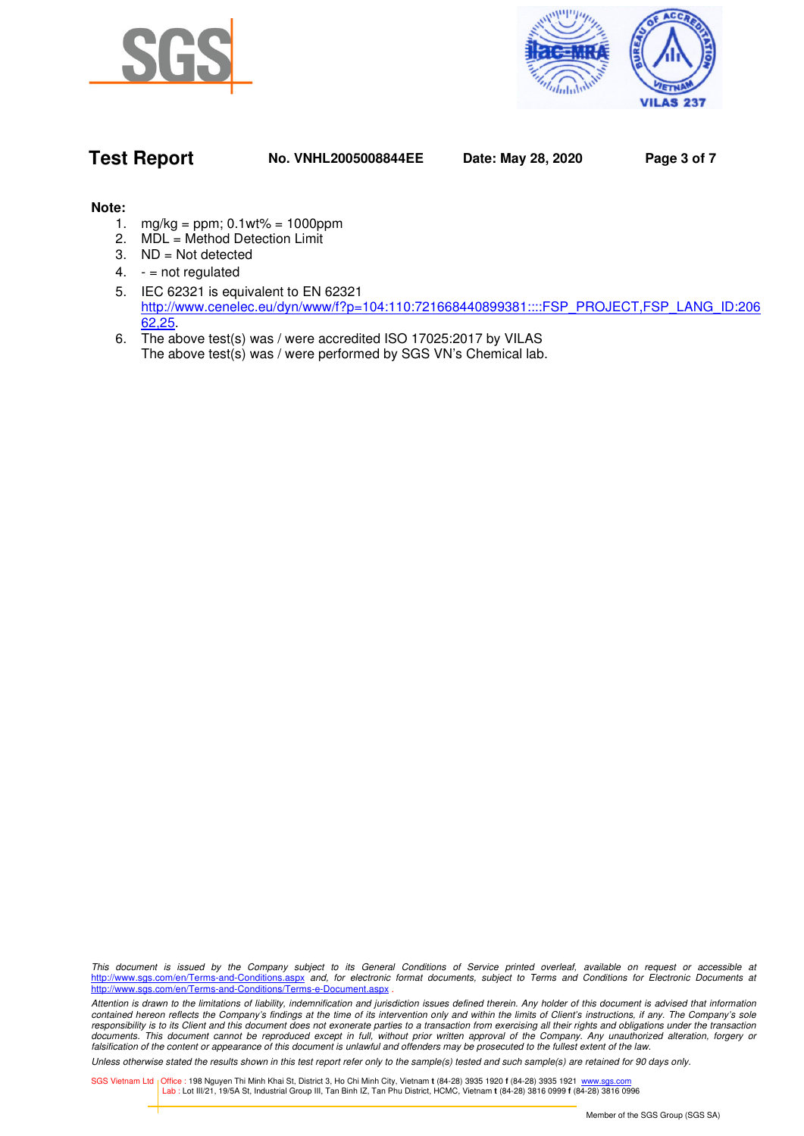



## **Test Report No. VNHL2005008844EE Date: May 28, 2020 Page 3 of 7**

## **Note:**

- 1. mg/kg = ppm; 0.1wt% = 1000ppm
- 2. MDL = Method Detection Limit
- 3. ND = Not detected
- 4.  $-$  = not regulated
- 5. IEC 62321 is equivalent to EN 62321 http://www.cenelec.eu/dyn/www/f?p=104:110:721668440899381::::FSP\_PROJECT,FSP\_LANG\_ID:206 62,25.
- 6. The above test(s) was / were accredited ISO 17025:2017 by VILAS The above test(s) was / were performed by SGS VN's Chemical lab.

This document is issued by the Company subject to its General Conditions of Service printed overleaf, available on request or accessible at http://www.sgs.com/en/Terms-and-Conditions.aspx and, for electronic format documents, subject to Terms and Conditions for Electronic Documents at http://www.sgs.com/en/Terms-and-Conditions/Terms-e-Document.aspx .

Attention is drawn to the limitations of liability, indemnification and jurisdiction issues defined therein. Any holder of this document is advised that information contained hereon reflects the Company's findings at the time of its intervention only and within the limits of Client's instructions, if any. The Company's sole responsibility is to its Client and this document does not exonerate parties to a transaction from exercising all their rights and obligations under the transaction documents. This document cannot be reproduced except in full, without prior written approval of the Company. Any unauthorized alteration, forgery or falsification of the content or appearance of this document is unlawful and offenders may be prosecuted to the fullest extent of the law.

Unless otherwise stated the results shown in this test report refer only to the sample(s) tested and such sample(s) are retained for 90 days only.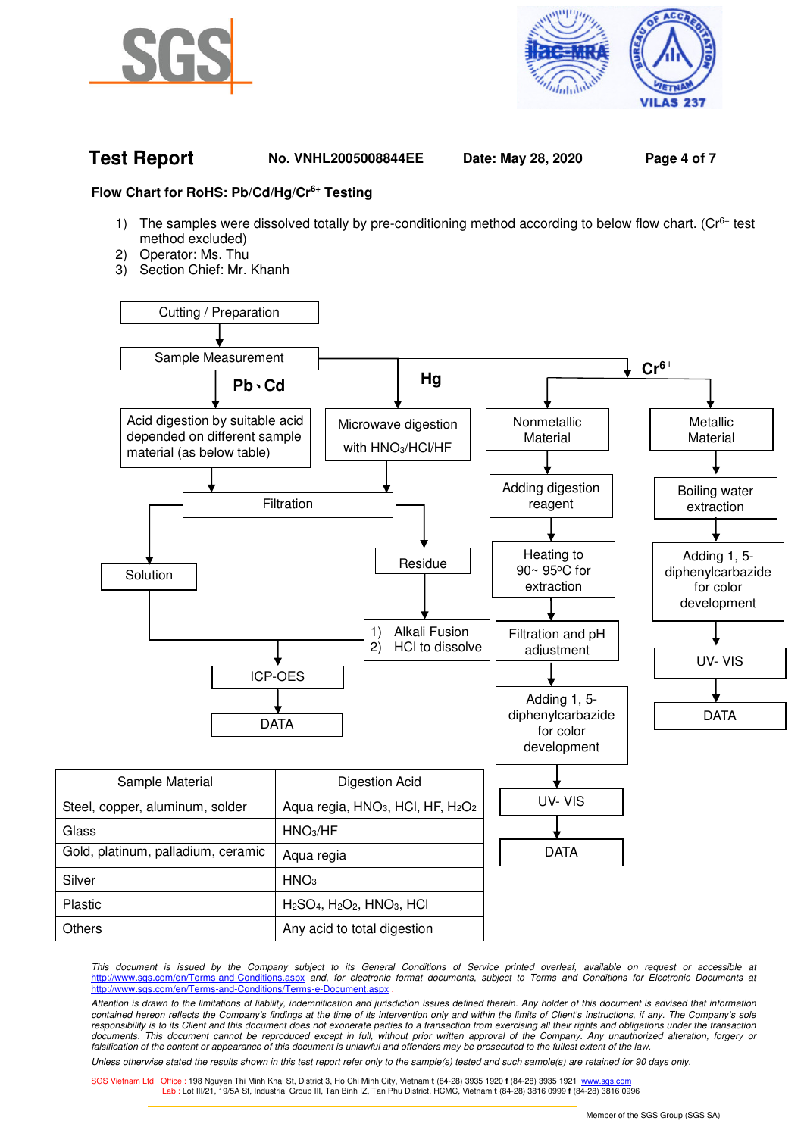



## **Test Report No. VNHL2005008844EE Date: May 28, 2020 Page 4 of 7**

### **Flow Chart for RoHS: Pb/Cd/Hg/Cr6+ Testing**

- 1) The samples were dissolved totally by pre-conditioning method according to below flow chart. ( $Cr<sup>6+</sup>$  test method excluded)
- 2) Operator: Ms. Thu
- 3) Section Chief: Mr. Khanh



This document is issued by the Company subject to its General Conditions of Service printed overleaf, available on request or accessible at http://www.sgs.com/en/Terms-and-Conditions.aspx and, for electronic format documents, subject to Terms and Conditions for Electronic Documents at http://www.sgs.com/en/Terms-and-Conditions/Terms-e-Document.aspx

Attention is drawn to the limitations of liability, indemnification and jurisdiction issues defined therein. Any holder of this document is advised that information contained hereon reflects the Company's findings at the time of its intervention only and within the limits of Client's instructions, if any. The Company's sole responsibility is to its Client and this document does not exonerate parties to a transaction from exercising all their rights and obligations under the transaction documents. This document cannot be reproduced except in full, without prior written approval of the Company. Any unauthorized alteration, forgery or falsification of the content or appearance of this document is unlawful and offenders may be prosecuted to the fullest extent of the law.

Unless otherwise stated the results shown in this test report refer only to the sample(s) tested and such sample(s) are retained for 90 days only.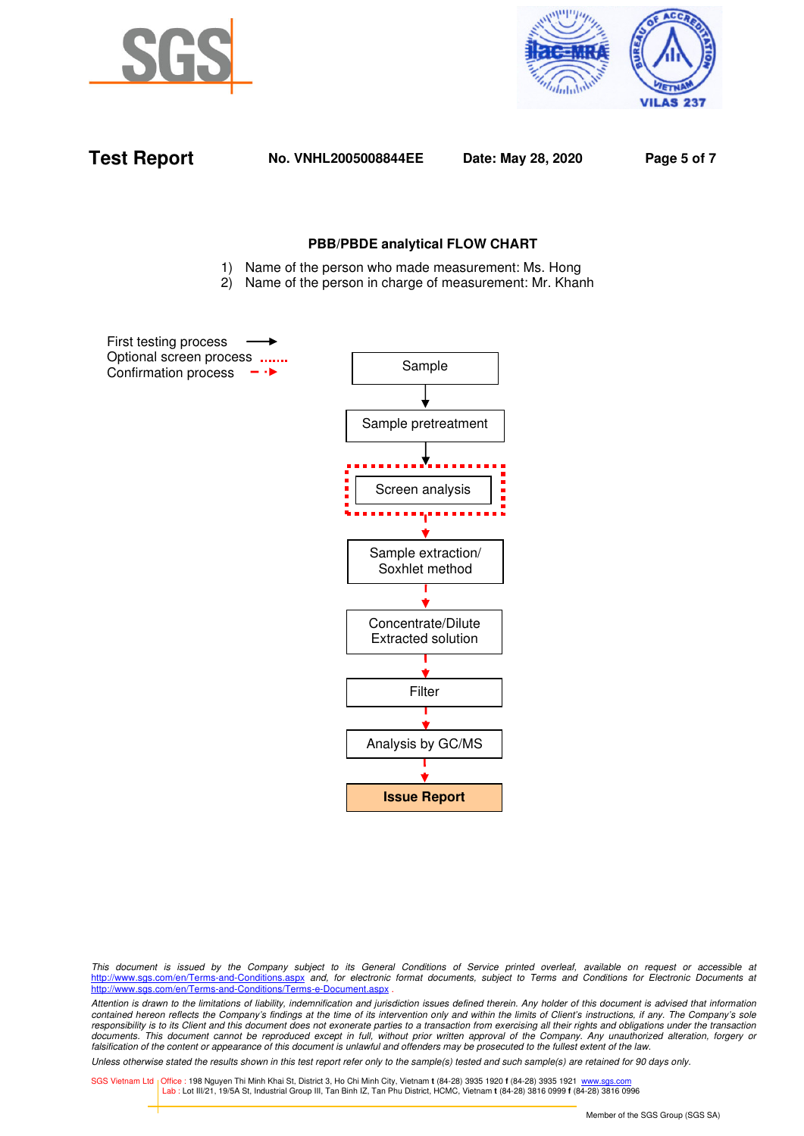



| <b>Test Report</b> |  |
|--------------------|--|

**Test Report No. VNHL2005008844EE Date: May 28, 2020 Page 5 of 7**

### **PBB/PBDE analytical FLOW CHART**

- 1) Name of the person who made measurement: Ms. Hong
- 2) Name of the person in charge of measurement: Mr. Khanh

First testing process Optional screen process ....... Confirmation process  $\rightarrow$ 



This document is issued by the Company subject to its General Conditions of Service printed overleaf, available on request or accessible at http://www.sgs.com/en/Terms-and-Conditions.aspx and, for electronic format documents, subject to Terms and Conditions for Electronic Documents at http://www.sgs.com/en/Terms-and-Conditions/Terms-e-Document.aspx

Attention is drawn to the limitations of liability, indemnification and jurisdiction issues defined therein. Any holder of this document is advised that information contained hereon reflects the Company's findings at the time of its intervention only and within the limits of Client's instructions, if any. The Company's sole responsibility is to its Client and this document does not exonerate parties to a transaction from exercising all their rights and obligations under the transaction documents. This document cannot be reproduced except in full, without prior written approval of the Company. Any unauthorized alteration, forgery or falsification of the content or appearance of this document is unlawful and offenders may be prosecuted to the fullest extent of the law.

Unless otherwise stated the results shown in this test report refer only to the sample(s) tested and such sample(s) are retained for 90 days only.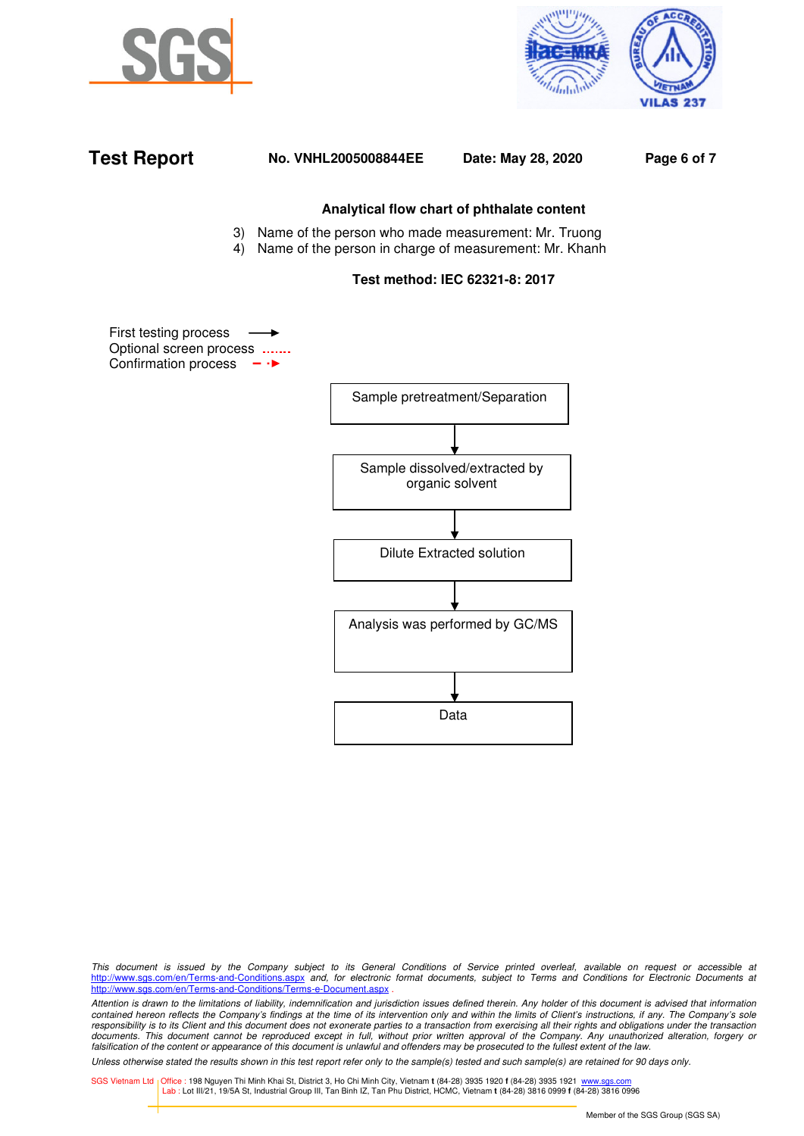





This document is issued by the Company subject to its General Conditions of Service printed overleaf, available on request or accessible at http://www.sgs.com/en/Terms-and-Conditions.aspx and, for electronic format documents, subject to Terms and Conditions for Electronic Documents at http://www.sgs.com/en/Terms-and-Conditions/Terms-e-Document.aspx

Attention is drawn to the limitations of liability, indemnification and jurisdiction issues defined therein. Any holder of this document is advised that information contained hereon reflects the Company's findings at the time of its intervention only and within the limits of Client's instructions, if any. The Company's sole responsibility is to its Client and this document does not exonerate parties to a transaction from exercising all their rights and obligations under the transaction documents. This document cannot be reproduced except in full, without prior written approval of the Company. Any unauthorized alteration, forgery or falsification of the content or appearance of this document is unlawful and offenders may be prosecuted to the fullest extent of the law.

Unless otherwise stated the results shown in this test report refer only to the sample(s) tested and such sample(s) are retained for 90 days only.